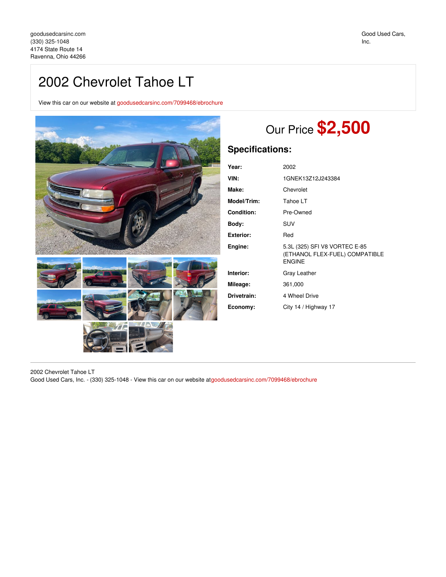## 2002 Chevrolet Tahoe LT

View this car on our website at [goodusedcarsinc.com/7099468/ebrochure](https://goodusedcarsinc.com/vehicle/7099468/2002-chevrolet-tahoe-lt-ravenna-ohio-44266/7099468/ebrochure)



## Our Price **\$2,500**

## **Specifications:**

| Year:             | 2002                                                                             |
|-------------------|----------------------------------------------------------------------------------|
| VIN:              | 1GNEK13Z12J243384                                                                |
| Make:             | Chevrolet                                                                        |
| Model/Trim:       | Tahoe LT                                                                         |
| <b>Condition:</b> | Pre-Owned                                                                        |
| Body:             | SUV                                                                              |
| <b>Exterior:</b>  | Red                                                                              |
| Engine:           | 5.3L (325) SFI V8 VORTEC E-85<br>(ETHANOL FLEX-FUEL) COMPATIBLE<br><b>ENGINE</b> |
| Interior:         | Gray Leather                                                                     |
| Mileage:          | 361,000                                                                          |
| Drivetrain:       | 4 Wheel Drive                                                                    |
| Economy:          | City 14 / Highway 17                                                             |

2002 Chevrolet Tahoe LT Good Used Cars, Inc. - (330) 325-1048 - View this car on our website at[goodusedcarsinc.com/7099468/ebrochure](https://goodusedcarsinc.com/vehicle/7099468/2002-chevrolet-tahoe-lt-ravenna-ohio-44266/7099468/ebrochure)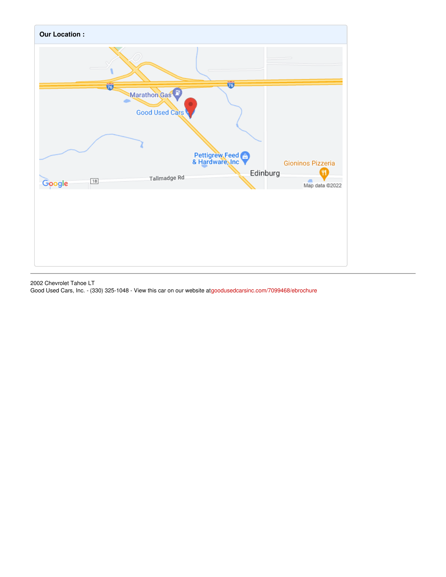

2002 Chevrolet Tahoe LT Good Used Cars, Inc. - (330) 325-1048 - View this car on our website at[goodusedcarsinc.com/7099468/ebrochure](https://goodusedcarsinc.com/vehicle/7099468/2002-chevrolet-tahoe-lt-ravenna-ohio-44266/7099468/ebrochure)